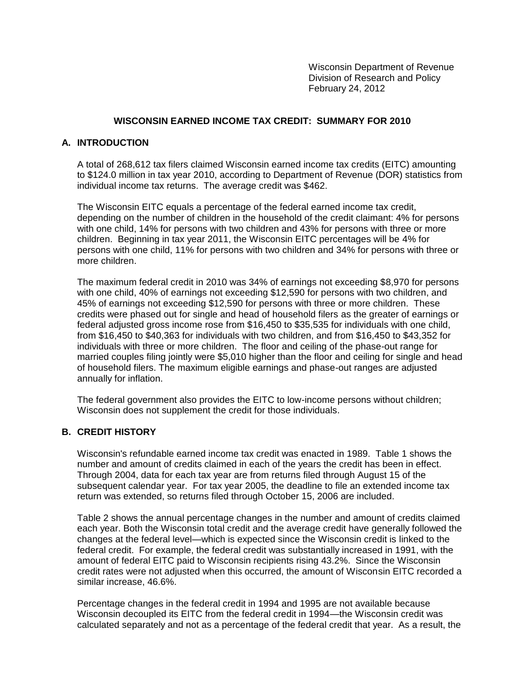Wisconsin Department of Revenue Division of Research and Policy February 24, 2012

## **WISCONSIN EARNED INCOME TAX CREDIT: SUMMARY FOR 2010**

### **A. INTRODUCTION**

A total of 268,612 tax filers claimed Wisconsin earned income tax credits (EITC) amounting to \$124.0 million in tax year 2010, according to Department of Revenue (DOR) statistics from individual income tax returns. The average credit was \$462.

The Wisconsin EITC equals a percentage of the federal earned income tax credit, depending on the number of children in the household of the credit claimant: 4% for persons with one child, 14% for persons with two children and 43% for persons with three or more children. Beginning in tax year 2011, the Wisconsin EITC percentages will be 4% for persons with one child, 11% for persons with two children and 34% for persons with three or more children.

The maximum federal credit in 2010 was 34% of earnings not exceeding \$8,970 for persons with one child, 40% of earnings not exceeding \$12,590 for persons with two children, and 45% of earnings not exceeding \$12,590 for persons with three or more children. These credits were phased out for single and head of household filers as the greater of earnings or federal adjusted gross income rose from \$16,450 to \$35,535 for individuals with one child, from \$16,450 to \$40,363 for individuals with two children, and from \$16,450 to \$43,352 for individuals with three or more children. The floor and ceiling of the phase-out range for married couples filing jointly were \$5,010 higher than the floor and ceiling for single and head of household filers. The maximum eligible earnings and phase-out ranges are adjusted annually for inflation.

The federal government also provides the EITC to low-income persons without children; Wisconsin does not supplement the credit for those individuals.

### **B. CREDIT HISTORY**

Wisconsin's refundable earned income tax credit was enacted in 1989. Table 1 shows the number and amount of credits claimed in each of the years the credit has been in effect. Through 2004, data for each tax year are from returns filed through August 15 of the subsequent calendar year. For tax year 2005, the deadline to file an extended income tax return was extended, so returns filed through October 15, 2006 are included.

Table 2 shows the annual percentage changes in the number and amount of credits claimed each year. Both the Wisconsin total credit and the average credit have generally followed the changes at the federal level—which is expected since the Wisconsin credit is linked to the federal credit. For example, the federal credit was substantially increased in 1991, with the amount of federal EITC paid to Wisconsin recipients rising 43.2%. Since the Wisconsin credit rates were not adjusted when this occurred, the amount of Wisconsin EITC recorded a similar increase, 46.6%.

Percentage changes in the federal credit in 1994 and 1995 are not available because Wisconsin decoupled its EITC from the federal credit in 1994—the Wisconsin credit was calculated separately and not as a percentage of the federal credit that year. As a result, the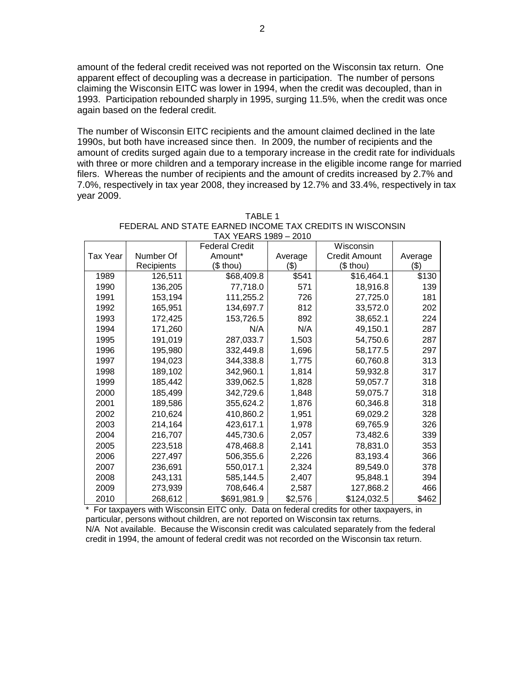amount of the federal credit received was not reported on the Wisconsin tax return. One apparent effect of decoupling was a decrease in participation. The number of persons claiming the Wisconsin EITC was lower in 1994, when the credit was decoupled, than in 1993. Participation rebounded sharply in 1995, surging 11.5%, when the credit was once again based on the federal credit.

The number of Wisconsin EITC recipients and the amount claimed declined in the late 1990s, but both have increased since then. In 2009, the number of recipients and the amount of credits surged again due to a temporary increase in the credit rate for individuals with three or more children and a temporary increase in the eligible income range for married filers. Whereas the number of recipients and the amount of credits increased by 2.7% and 7.0%, respectively in tax year 2008, they increased by 12.7% and 33.4%, respectively in tax year 2009.

|                         |           | <b>Federal Credit</b> |         | Wisconsin            |         |
|-------------------------|-----------|-----------------------|---------|----------------------|---------|
| Tax Year                | Number Of | Amount*               | Average | <b>Credit Amount</b> | Average |
| (\$ thou)<br>Recipients |           |                       | (\$)    | (\$ thou)            | (\$)    |
| 1989                    | 126,511   | \$68,409.8            | \$541   | \$16,464.1           | \$130   |
| 1990                    | 136,205   | 77,718.0              | 571     | 18,916.8             | 139     |
| 1991                    | 153,194   | 111,255.2             | 726     | 27,725.0             | 181     |
| 1992                    | 165,951   | 134,697.7             | 812     | 33,572.0             | 202     |
| 1993                    | 172,425   | 153,726.5             | 892     | 38,652.1             | 224     |
| 1994                    | 171,260   | N/A                   | N/A     | 49,150.1             | 287     |
| 1995                    | 191,019   | 287,033.7             | 1,503   | 54,750.6             | 287     |
| 1996                    | 195,980   | 332,449.8             | 1,696   | 58,177.5             | 297     |
| 1997                    | 194,023   | 344,338.8             | 1,775   | 60,760.8             | 313     |
| 1998                    | 189,102   | 342,960.1             | 1,814   | 59,932.8             | 317     |
| 1999                    | 185,442   | 339,062.5             | 1,828   | 59,057.7             | 318     |
| 2000                    | 185,499   | 342,729.6             | 1,848   | 59,075.7             | 318     |
| 2001                    | 189,586   | 355,624.2             | 1,876   | 60,346.8             | 318     |
| 2002                    | 210,624   | 410,860.2             | 1,951   | 69,029.2             | 328     |
| 2003                    | 214,164   | 423,617.1             | 1,978   | 69,765.9             | 326     |
| 2004                    | 216,707   | 445,730.6             | 2,057   | 73,482.6             | 339     |
| 2005                    | 223,518   | 478,468.8             | 2,141   | 78,831.0             | 353     |
| 2006                    | 227,497   | 506,355.6             | 2,226   | 83,193.4             | 366     |
| 2007                    | 236,691   | 550,017.1             | 2,324   | 89,549.0             | 378     |
| 2008                    | 243,131   | 585,144.5             | 2,407   | 95,848.1             | 394     |
| 2009                    | 273,939   | 708,646.4             | 2,587   | 127,868.2            | 466     |
| 2010                    | 268,612   | \$691,981.9           | \$2,576 | \$124,032.5          | \$462   |

TABLE 1 FEDERAL AND STATE EARNED INCOME TAX CREDITS IN WISCONSIN TAX YEARS 1989 – 2010

\* For taxpayers with Wisconsin EITC only. Data on federal credits for other taxpayers, in particular, persons without children, are not reported on Wisconsin tax returns. N/A Not available. Because the Wisconsin credit was calculated separately from the federal credit in 1994, the amount of federal credit was not recorded on the Wisconsin tax return.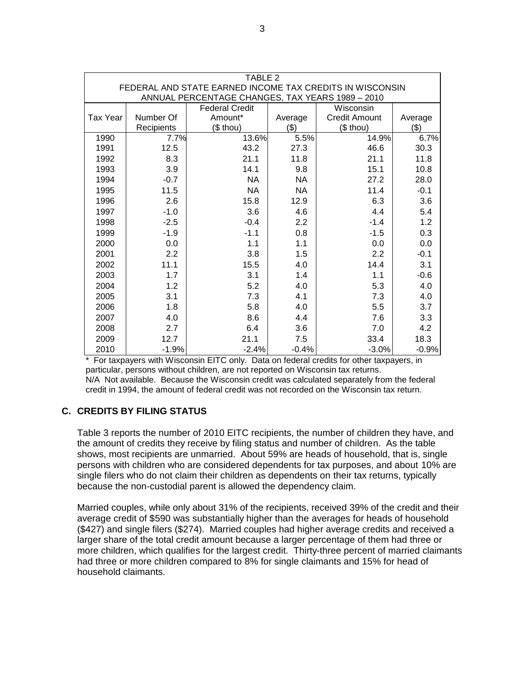| TABLE 2                                                                                                      |                                    |            |           |                      |         |  |  |  |
|--------------------------------------------------------------------------------------------------------------|------------------------------------|------------|-----------|----------------------|---------|--|--|--|
| FEDERAL AND STATE EARNED INCOME TAX CREDITS IN WISCONSIN<br>ANNUAL PERCENTAGE CHANGES, TAX YEARS 1989 - 2010 |                                    |            |           |                      |         |  |  |  |
|                                                                                                              | <b>Federal Credit</b><br>Wisconsin |            |           |                      |         |  |  |  |
| <b>Tax Year</b>                                                                                              | Number Of                          | Amount*    | Average   | <b>Credit Amount</b> | Average |  |  |  |
|                                                                                                              | Recipients                         | $($$ thou) | ( \$)     | $($$ thou)           | (3)     |  |  |  |
| 1990                                                                                                         | 7.7%                               | 13.6%      | 5.5%      | 14.9%                | 6.7%    |  |  |  |
| 1991                                                                                                         | 12.5                               | 43.2       | 27.3      | 46.6                 | 30.3    |  |  |  |
| 1992                                                                                                         | 8.3                                | 21.1       | 11.8      | 21.1                 | 11.8    |  |  |  |
| 1993                                                                                                         | 3.9                                | 14.1       | 9.8       | 15.1                 | 10.8    |  |  |  |
| 1994                                                                                                         | $-0.7$                             | <b>NA</b>  | <b>NA</b> | 27.2                 | 28.0    |  |  |  |
| 1995                                                                                                         | 11.5                               | <b>NA</b>  | <b>NA</b> | 11.4                 | $-0.1$  |  |  |  |
| 1996                                                                                                         | 2.6                                | 15.8       | 12.9      | 6.3                  | 3.6     |  |  |  |
| 1997                                                                                                         | $-1.0$                             | 3.6        | 4.6       | 4.4                  | 5.4     |  |  |  |
| 1998                                                                                                         | $-2.5$                             | $-0.4$     | 2.2       | $-1.4$               | 1.2     |  |  |  |
| 1999                                                                                                         | $-1.9$                             | $-1.1$     | 0.8       | $-1.5$               | 0.3     |  |  |  |
| 2000                                                                                                         | 0.0                                | 1.1        | 1.1       | 0.0                  | 0.0     |  |  |  |
| 2001                                                                                                         | 2.2                                | 3.8        | 1.5       | 2.2                  | $-0.1$  |  |  |  |
| 2002                                                                                                         | 11.1                               | 15.5       | 4.0       | 14.4                 | 3.1     |  |  |  |
| 2003                                                                                                         | 1.7                                | 3.1        | 1.4       | 1.1                  | $-0.6$  |  |  |  |
| 2004                                                                                                         | 1.2                                | 5.2        | 4.0       | 5.3                  | 4.0     |  |  |  |
| 2005                                                                                                         | 3.1                                | 7.3        | 4.1       | 7.3                  | 4.0     |  |  |  |
| 2006                                                                                                         | 1.8                                | 5.8        | 4.0       | 5.5                  | 3.7     |  |  |  |
| 2007                                                                                                         | 4.0                                | 8.6        | 4.4       | 7.6                  | 3.3     |  |  |  |
| 2008                                                                                                         | 2.7                                | 6.4        | 3.6       | 7.0                  | 4.2     |  |  |  |
| 2009                                                                                                         | 12.7                               | 21.1       | 7.5       | 33.4                 | 18.3    |  |  |  |
| 2010                                                                                                         | $-1.9%$                            | $-2.4%$    | $-0.4%$   | $-3.0%$              | $-0.9%$ |  |  |  |

\* For taxpayers with Wisconsin EITC only. Data on federal credits for other taxpayers, in particular, persons without children, are not reported on Wisconsin tax returns. N/A Not available. Because the Wisconsin credit was calculated separately from the federal credit in 1994, the amount of federal credit was not recorded on the Wisconsin tax return.

# **C. CREDITS BY FILING STATUS**

Table 3 reports the number of 2010 EITC recipients, the number of children they have, and the amount of credits they receive by filing status and number of children. As the table shows, most recipients are unmarried. About 59% are heads of household, that is, single persons with children who are considered dependents for tax purposes, and about 10% are single filers who do not claim their children as dependents on their tax returns, typically because the non-custodial parent is allowed the dependency claim.

Married couples, while only about 31% of the recipients, received 39% of the credit and their average credit of \$590 was substantially higher than the averages for heads of household (\$427) and single filers (\$274). Married couples had higher average credits and received a larger share of the total credit amount because a larger percentage of them had three or more children, which qualifies for the largest credit. Thirty-three percent of married claimants had three or more children compared to 8% for single claimants and 15% for head of household claimants.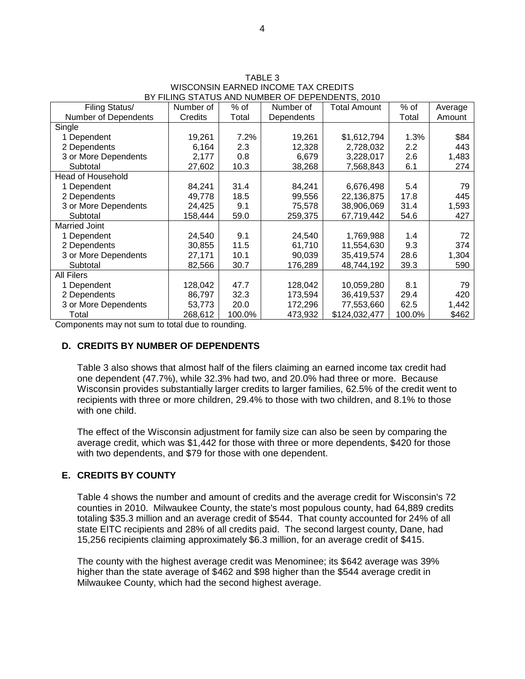| Filing Status/              | Number of | $%$ of | Number of  | <b>Total Amount</b> | % of   |         |
|-----------------------------|-----------|--------|------------|---------------------|--------|---------|
|                             |           |        |            |                     |        | Average |
| <b>Number of Dependents</b> | Credits   | Total  | Dependents |                     | Total  | Amount  |
| Single                      |           |        |            |                     |        |         |
| 1 Dependent                 | 19,261    | 7.2%   | 19,261     | \$1,612,794         | 1.3%   | \$84    |
| 2 Dependents                | 6,164     | 2.3    | 12,328     | 2,728,032           | 2.2    | 443     |
| 3 or More Dependents        | 2,177     | 0.8    | 6,679      | 3,228,017           | 2.6    | 1,483   |
| Subtotal                    | 27,602    | 10.3   | 38,268     | 7,568,843           | 6.1    | 274     |
| <b>Head of Household</b>    |           |        |            |                     |        |         |
| 1 Dependent                 | 84,241    | 31.4   | 84,241     | 6,676,498           | 5.4    | 79      |
| 2 Dependents                | 49,778    | 18.5   | 99,556     | 22,136,875          | 17.8   | 445     |
| 3 or More Dependents        | 24,425    | 9.1    | 75,578     | 38,906,069          | 31.4   | 1,593   |
| Subtotal                    | 158,444   | 59.0   | 259,375    | 67,719,442          | 54.6   | 427     |
| <b>Married Joint</b>        |           |        |            |                     |        |         |
| 1 Dependent                 | 24,540    | 9.1    | 24,540     | 1,769,988           | 1.4    | 72      |
| 2 Dependents                | 30,855    | 11.5   | 61,710     | 11,554,630          | 9.3    | 374     |
| 3 or More Dependents        | 27,171    | 10.1   | 90,039     | 35,419,574          | 28.6   | 1,304   |
| Subtotal                    | 82,566    | 30.7   | 176,289    | 48,744,192          | 39.3   | 590     |
| <b>All Filers</b>           |           |        |            |                     |        |         |
| 1 Dependent                 | 128,042   | 47.7   | 128,042    | 10,059,280          | 8.1    | 79      |
| 2 Dependents                | 86,797    | 32.3   | 173,594    | 36,419,537          | 29.4   | 420     |
| 3 or More Dependents        | 53,773    | 20.0   | 172,296    | 77,553,660          | 62.5   | 1,442   |
| Total                       | 268,612   | 100.0% | 473,932    | \$124,032,477       | 100.0% | \$462   |

TABLE 3 WISCONSIN EARNED INCOME TAX CREDITS BY FILING STATUS AND NUMBER OF DEPENDENTS, 2010

Components may not sum to total due to rounding.

### **D. CREDITS BY NUMBER OF DEPENDENTS**

Table 3 also shows that almost half of the filers claiming an earned income tax credit had one dependent (47.7%), while 32.3% had two, and 20.0% had three or more. Because Wisconsin provides substantially larger credits to larger families, 62.5% of the credit went to recipients with three or more children, 29.4% to those with two children, and 8.1% to those with one child.

The effect of the Wisconsin adjustment for family size can also be seen by comparing the average credit, which was \$1,442 for those with three or more dependents, \$420 for those with two dependents, and \$79 for those with one dependent.

### **E. CREDITS BY COUNTY**

Table 4 shows the number and amount of credits and the average credit for Wisconsin's 72 counties in 2010. Milwaukee County, the state's most populous county, had 64,889 credits totaling \$35.3 million and an average credit of \$544. That county accounted for 24% of all state EITC recipients and 28% of all credits paid. The second largest county, Dane, had 15,256 recipients claiming approximately \$6.3 million, for an average credit of \$415.

The county with the highest average credit was Menominee; its \$642 average was 39% higher than the state average of \$462 and \$98 higher than the \$544 average credit in Milwaukee County, which had the second highest average.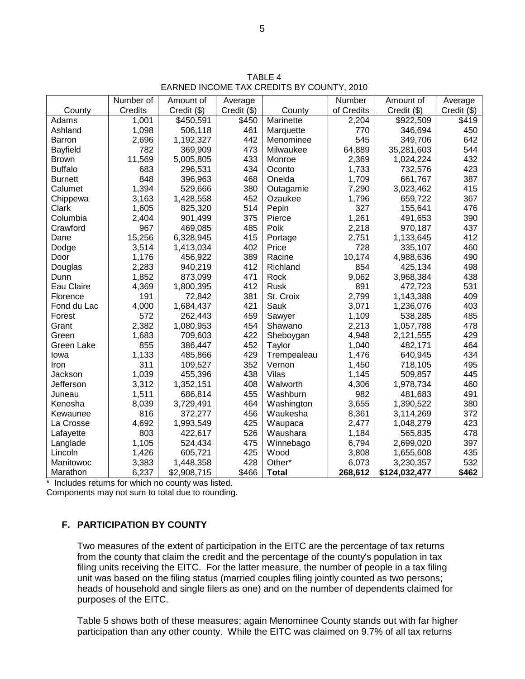TABLE 4 EARNED INCOME TAX CREDITS BY COUNTY, 2010

|                 | Number of | Amount of   | Average     |              | Number     | Amount of     | Average     |
|-----------------|-----------|-------------|-------------|--------------|------------|---------------|-------------|
| County          | Credits   | Credit (\$) | Credit (\$) | County       | of Credits | Credit (\$)   | Credit (\$) |
| Adams           | 1,001     | \$450,591   | \$450       | Marinette    | 2,204      | \$922,509     | \$419       |
| Ashland         | 1,098     | 506,118     | 461         | Marquette    | 770        | 346,694       | 450         |
| <b>Barron</b>   | 2,696     | 1,192,327   | 442         | Menominee    | 545        | 349,706       | 642         |
| <b>Bayfield</b> | 782       | 369,909     | 473         | Milwaukee    | 64,889     | 35,281,603    | 544         |
| <b>Brown</b>    | 11,569    | 5,005,805   | 433         | Monroe       | 2,369      | 1,024,224     | 432         |
| <b>Buffalo</b>  | 683       | 296,531     | 434         | Oconto       | 1,733      | 732,576       | 423         |
| <b>Burnett</b>  | 848       | 396,963     | 468         | Oneida       | 1,709      | 661,767       | 387         |
| Calumet         | 1,394     | 529,666     | 380         | Outagamie    | 7,290      | 3,023,462     | 415         |
| Chippewa        | 3,163     | 1,428,558   | 452         | Ozaukee      | 1,796      | 659,722       | 367         |
| Clark           | 1,605     | 825,320     | 514         | Pepin        | 327        | 155,641       | 476         |
| Columbia        | 2,404     | 901,499     | 375         | Pierce       | 1,261      | 491,653       | 390         |
| Crawford        | 967       | 469,085     | 485         | Polk         | 2,218      | 970,187       | 437         |
| Dane            | 15,256    | 6,328,945   | 415         | Portage      | 2,751      | 1,133,645     | 412         |
| Dodge           | 3,514     | 1,413,034   | 402         | Price        | 728        | 335,107       | 460         |
| Door            | 1,176     | 456,922     | 389         | Racine       | 10,174     | 4,988,636     | 490         |
| Douglas         | 2,283     | 940,219     | 412         | Richland     | 854        | 425,134       | 498         |
| Dunn            | 1,852     | 873,099     | 471         | Rock         | 9,062      | 3,968,384     | 438         |
| Eau Claire      | 4,369     | 1,800,395   | 412         | Rusk         | 891        | 472,723       | 531         |
| Florence        | 191       | 72,842      | 381         | St. Croix    | 2,799      | 1,143,388     | 409         |
| Fond du Lac     | 4,000     | 1,684,437   | 421         | Sauk         | 3,071      | 1,236,076     | 403         |
| Forest          | 572       | 262,443     | 459         | Sawyer       | 1,109      | 538,285       | 485         |
| Grant           | 2,382     | 1,080,953   | 454         | Shawano      | 2,213      | 1,057,788     | 478         |
| Green           | 1,683     | 709,603     | 422         | Sheboygan    | 4,948      | 2,121,555     | 429         |
| Green Lake      | 855       | 386,447     | 452         | Taylor       | 1,040      | 482,171       | 464         |
| Iowa            | 1,133     | 485,866     | 429         | Trempealeau  | 1,476      | 640,945       | 434         |
| Iron            | 311       | 109,527     | 352         | Vernon       | 1,450      | 718,105       | 495         |
| Jackson         | 1,039     | 455,396     | 438         | Vilas        | 1,145      | 509,857       | 445         |
| Jefferson       | 3,312     | 1,352,151   | 408         | Walworth     | 4,306      | 1,978,734     | 460         |
| Juneau          | 1,511     | 686,814     | 455         | Washburn     | 982        | 481,683       | 491         |
| Kenosha         | 8,039     | 3,729,491   | 464         | Washington   | 3,655      | 1,390,522     | 380         |
| Kewaunee        | 816       | 372,277     | 456         | Waukesha     | 8,361      | 3,114,269     | 372         |
| La Crosse       | 4,692     | 1,993,549   | 425         | Waupaca      | 2,477      | 1,048,279     | 423         |
| Lafayette       | 803       | 422,617     | 526         | Waushara     | 1,184      | 565,835       | 478         |
| Langlade        | 1,105     | 524,434     | 475         | Winnebago    | 6,794      | 2,699,020     | 397         |
| Lincoln         | 1,426     | 605,721     | 425         | Wood         | 3,808      | 1,655,608     | 435         |
| Manitowoc       | 3,383     | 1,448,358   | 428         | Other*       | 6,073      | 3,230,357     | 532         |
| Marathon        | 6,237     | \$2,908,715 | \$466       | <b>Total</b> | 268,612    | \$124,032,477 | \$462       |

\* Includes returns for which no county was listed.

Components may not sum to total due to rounding.

## **F. PARTICIPATION BY COUNTY**

Two measures of the extent of participation in the EITC are the percentage of tax returns from the county that claim the credit and the percentage of the county's population in tax filing units receiving the EITC. For the latter measure, the number of people in a tax filing unit was based on the filing status (married couples filing jointly counted as two persons; heads of household and single filers as one) and on the number of dependents claimed for purposes of the EITC.

Table 5 shows both of these measures; again Menominee County stands out with far higher participation than any other county. While the EITC was claimed on 9.7% of all tax returns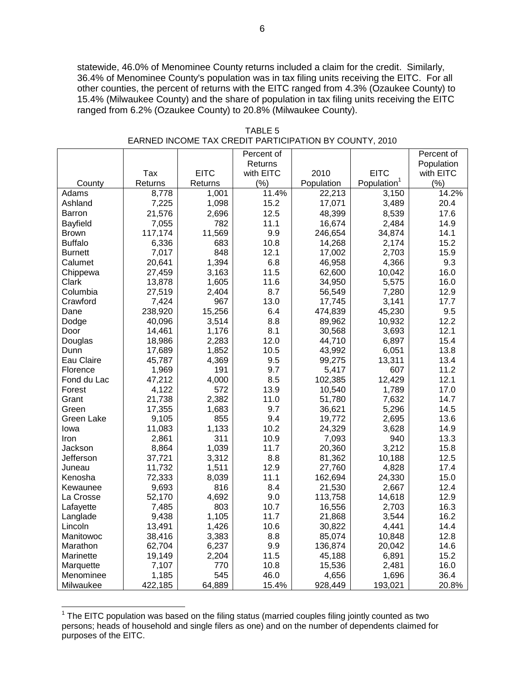statewide, 46.0% of Menominee County returns included a claim for the credit. Similarly, 36.4% of Menominee County's population was in tax filing units receiving the EITC. For all other counties, the percent of returns with the EITC ranged from 4.3% (Ozaukee County) to 15.4% (Milwaukee County) and the share of population in tax filing units receiving the EITC ranged from 6.2% (Ozaukee County) to 20.8% (Milwaukee County).

|                   |         |             | Percent of |            |                         | Percent of |
|-------------------|---------|-------------|------------|------------|-------------------------|------------|
|                   |         |             | Returns    |            |                         | Population |
|                   | Tax     | <b>EITC</b> | with EITC  | 2010       | <b>EITC</b>             | with EITC  |
| County            | Returns | Returns     | (%)        | Population | Population <sup>1</sup> | (%)        |
| Adams             | 8,778   | 1,001       | 11.4%      | 22,213     | 3,150                   | 14.2%      |
| Ashland           | 7,225   | 1,098       | 15.2       | 17,071     | 3,489                   | 20.4       |
| Barron            | 21,576  | 2,696       | 12.5       | 48,399     | 8,539                   | 17.6       |
| Bayfield          | 7,055   | 782         | 11.1       | 16,674     | 2,484                   | 14.9       |
| <b>Brown</b>      | 117,174 | 11,569      | 9.9        | 246,654    | 34,874                  | 14.1       |
| <b>Buffalo</b>    | 6,336   | 683         | 10.8       | 14,268     | 2,174                   | 15.2       |
| <b>Burnett</b>    | 7,017   | 848         | 12.1       | 17,002     | 2,703                   | 15.9       |
| Calumet           | 20,641  | 1,394       | 6.8        | 46,958     | 4,366                   | 9.3        |
| Chippewa          | 27,459  | 3,163       | 11.5       | 62,600     | 10,042                  | 16.0       |
| Clark             | 13,878  | 1,605       | 11.6       | 34,950     | 5,575                   | 16.0       |
| Columbia          | 27,519  | 2,404       | 8.7        | 56,549     | 7,280                   | 12.9       |
| Crawford          | 7,424   | 967         | 13.0       | 17,745     | 3,141                   | 17.7       |
| Dane              | 238,920 | 15,256      | 6.4        | 474,839    | 45,230                  | 9.5        |
| Dodge             | 40,096  | 3,514       | 8.8        | 89,962     | 10,932                  | 12.2       |
| Door              | 14,461  | 1,176       | 8.1        | 30,568     | 3,693                   | 12.1       |
| Douglas           | 18,986  | 2,283       | 12.0       | 44,710     | 6,897                   | 15.4       |
| Dunn              | 17,689  | 1,852       | 10.5       | 43,992     | 6,051                   | 13.8       |
| Eau Claire        | 45,787  | 4,369       | 9.5        | 99,275     | 13,311                  | 13.4       |
| Florence          | 1,969   | 191         | 9.7        | 5,417      | 607                     | 11.2       |
| Fond du Lac       | 47,212  | 4,000       | 8.5        | 102,385    | 12,429                  | 12.1       |
| Forest            | 4,122   | 572         | 13.9       | 10,540     | 1,789                   | 17.0       |
| Grant             | 21,738  | 2,382       | 11.0       | 51,780     | 7,632                   | 14.7       |
| Green             | 17,355  | 1,683       | 9.7        | 36,621     | 5,296                   | 14.5       |
| <b>Green Lake</b> | 9,105   | 855         | 9.4        | 19,772     | 2,695                   | 13.6       |
| Iowa              | 11,083  | 1,133       | 10.2       | 24,329     | 3,628                   | 14.9       |
| Iron              | 2,861   | 311         | 10.9       | 7,093      | 940                     | 13.3       |
| Jackson           | 8,864   | 1,039       | 11.7       | 20,360     | 3,212                   | 15.8       |
| Jefferson         | 37,721  | 3,312       | 8.8        | 81,362     | 10,188                  | 12.5       |
| Juneau            | 11,732  | 1,511       | 12.9       | 27,760     | 4,828                   | 17.4       |
| Kenosha           | 72,333  | 8,039       | 11.1       | 162,694    | 24,330                  | 15.0       |
| Kewaunee          | 9,693   | 816         | 8.4        | 21,530     | 2,667                   | 12.4       |
| La Crosse         | 52,170  | 4,692       | 9.0        | 113,758    | 14,618                  | 12.9       |
| Lafayette         | 7,485   | 803         | 10.7       | 16,556     | 2,703                   | 16.3       |
| Langlade          | 9,438   | 1,105       | 11.7       | 21,868     | 3,544                   | 16.2       |
| Lincoln           | 13,491  | 1,426       | 10.6       | 30,822     | 4,441                   | 14.4       |
| Manitowoc         | 38,416  | 3,383       | 8.8        | 85,074     | 10,848                  | 12.8       |
| Marathon          | 62,704  | 6,237       | 9.9        | 136,874    | 20,042                  | 14.6       |
| Marinette         | 19,149  | 2,204       | 11.5       | 45,188     | 6,891                   | 15.2       |
| Marquette         | 7,107   | 770         | 10.8       | 15,536     | 2,481                   | 16.0       |
| Menominee         | 1,185   | 545         | 46.0       | 4,656      | 1,696                   | 36.4       |
| Milwaukee         | 422,185 | 64,889      | 15.4%      | 928,449    | 193,021                 | 20.8%      |

TABLE 5 EARNED INCOME TAX CREDIT PARTICIPATION BY COUNTY, 2010

j

 $1$  The EITC population was based on the filing status (married couples filing jointly counted as two persons; heads of household and single filers as one) and on the number of dependents claimed for purposes of the EITC.